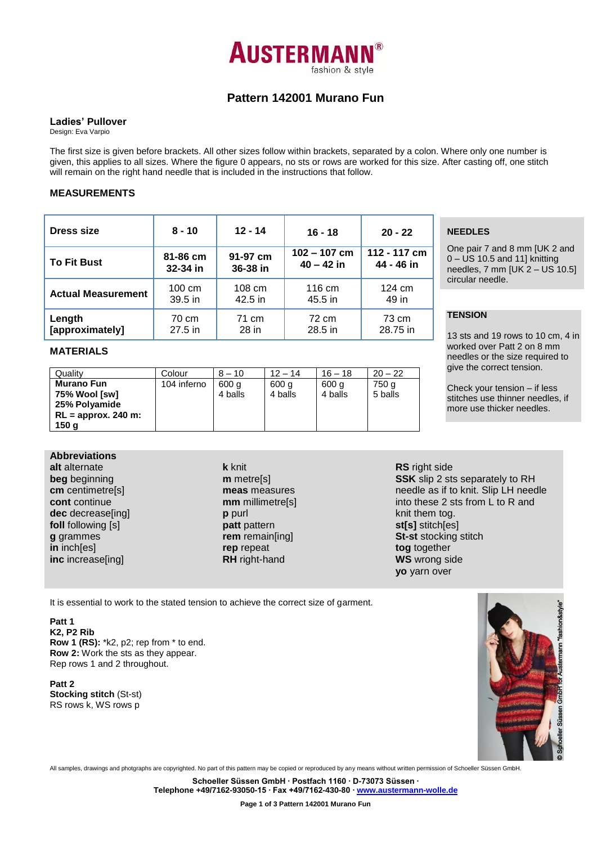

# **Pattern 142001 Murano Fun**

#### **Ladies' Pullover**

Design: Eva Varpio

The first size is given before brackets. All other sizes follow within brackets, separated by a colon. Where only one number is given, this applies to all sizes. Where the figure 0 appears, no sts or rows are worked for this size. After casting off, one stitch will remain on the right hand needle that is included in the instructions that follow.

## **MEASUREMENTS**

| <b>Dress size</b>         | $8 - 10$ | $12 - 14$ | $16 - 18$      | $20 - 22$        |
|---------------------------|----------|-----------|----------------|------------------|
| <b>To Fit Bust</b>        | 81-86 cm | 91-97 cm  | $102 - 107$ cm | 112 - 117 cm     |
|                           | 32-34 in | 36-38 in  | $40 - 42$ in   | 44 - 46 in       |
| <b>Actual Measurement</b> | 100 cm   | 108 cm    | 116 cm         | $124 \text{ cm}$ |
|                           | 39.5 in  | $42.5$ in | 45.5 in        | 49 in            |
| Length                    | 70 cm    | 71 cm     | 72 cm          | 73 cm            |
| [approximately]           | 27.5 in  | 28 in     | 28.5 in        | 28.75 in         |

# **MATERIALS**

| Quality               | Colour      | $8 - 10$ | $12 - 14$ | $16 - 18$ | $20 - 22$ |
|-----------------------|-------------|----------|-----------|-----------|-----------|
| <b>Murano Fun</b>     | 104 inferno | 600 a    | 600 g     | 600 g     | 750 a     |
| 75% Wool [sw]         |             | 4 balls  | 4 balls   | 4 balls   | 5 balls   |
| 25% Polyamide         |             |          |           |           |           |
| $RL =$ approx. 240 m: |             |          |           |           |           |
| 150 g                 |             |          |           |           |           |

# **NEEDLES**

One pair 7 and 8 mm [UK 2 and 0 – US 10.5 and 11] knitting needles, 7 mm [UK 2 – US 10.5] circular needle.

# **TENSION**

13 sts and 19 rows to 10 cm, 4 in worked over Patt 2 on 8 mm needles or the size required to give the correct tension.

Check your tension – if less stitches use thinner needles, if more use thicker needles.

**Abbreviations alt** alternate **beg** beginning **cm** centimetre[s] **cont** continue **dec** decrease[ing] **foll** following [s] **g** grammes **in** inch[es] **inc** increase[ing]

**k** knit **m** metre[s] **meas** measures **mm** millimetre[s] **p** purl **patt** pattern **rem** remain[ing] **rep** repeat **RH** right-hand

#### **RS** right side **SSK** slip 2 sts separately to RH needle as if to knit. Slip LH needle into these 2 sts from L to R and knit them tog. **st[s]** stitch[es] **St-st** stocking stitch **tog** together **WS** wrong side **yo** yarn over

It is essential to work to the stated tension to achieve the correct size of garment.

**Patt 1 K2, P2 Rib Row 1 (RS):** \*k2, p2; rep from \* to end. **Row 2:** Work the sts as they appear. Rep rows 1 and 2 throughout.

**Patt 2 Stocking stitch** (St-st) RS rows k, WS rows p



All samples, drawings and photgraphs are copyrighted. No part of this pattern may be copied or reproduced by any means without written permission of Schoeller Süssen GmbH.

**Schoeller Süssen GmbH ∙ Postfach 1160 ∙ D-73073 Süssen ∙**

**Telephone +49/7162-93050-15 ∙ Fax +49/7162-430-80 ∙ [www.austermann-wolle.de](http://www.austermann-wolle.de/)**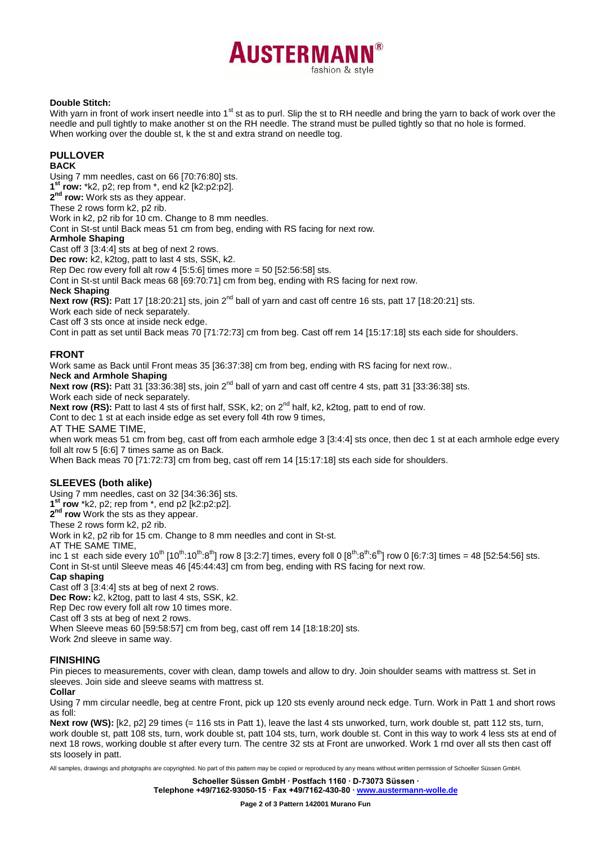

#### **Double Stitch:**

With yarn in front of work insert needle into 1<sup>st</sup> st as to purl. Slip the st to RH needle and bring the yarn to back of work over the needle and pull tightly to make another st on the RH needle. The strand must be pulled tightly so that no hole is formed. When working over the double st, k the st and extra strand on needle tog.

## **PULLOVER**

#### **BACK**

Using 7 mm needles, cast on 66 [70:76:80] sts. **1 st row:** \*k2, p2; rep from \*, end k2 [k2:p2:p2].

**2 nd row:** Work sts as they appear.

These 2 rows form k2, p2 rib.

Work in k2, p2 rib for 10 cm. Change to 8 mm needles.

Cont in St-st until Back meas 51 cm from beg, ending with RS facing for next row.

#### **Armhole Shaping**

Cast off 3 [3:4:4] sts at beg of next 2 rows.

**Dec row:** k2, k2tog, patt to last 4 sts, SSK, k2.

Rep Dec row every foll alt row 4  $[5:5:6]$  times more = 50  $[52:56:58]$  sts.

Cont in St-st until Back meas 68 [69:70:71] cm from beg, ending with RS facing for next row.

#### **Neck Shaping**

**Next row (RS):** Patt 17 [18:20:21] sts, join 2nd ball of yarn and cast off centre 16 sts, patt 17 [18:20:21] sts.

Work each side of neck separately.

Cast off 3 sts once at inside neck edge.

Cont in patt as set until Back meas 70 [71:72:73] cm from beg. Cast off rem 14 [15:17:18] sts each side for shoulders.

# **FRONT**

Work same as Back until Front meas 35 [36:37:38] cm from beg, ending with RS facing for next row..

**Neck and Armhole Shaping**

**Next row (RS):** Patt 31 [33:36:38] sts, join 2<sup>nd</sup> ball of yarn and cast off centre 4 sts, patt 31 [33:36:38] sts.

Work each side of neck separately.

Next row (RS): Patt to last 4 sts of first half, SSK, k2; on 2<sup>nd</sup> half, k2, k2tog, patt to end of row.

Cont to dec 1 st at each inside edge as set every foll 4th row 9 times,

AT THE SAME TIME,

when work meas 51 cm from beg, cast off from each armhole edge 3 [3:4:4] sts once, then dec 1 st at each armhole edge every foll alt row 5 [6:6] 7 times same as on Back.

When Back meas 70 [71:72:73] cm from beg, cast off rem 14 [15:17:18] sts each side for shoulders.

#### **SLEEVES (both alike)**

Using 7 mm needles, cast on 32 [34:36:36] sts.

**1 st row** \*k2, p2; rep from \*, end p2 [k2:p2:p2].

**2 nd row** Work the sts as they appear.

These 2 rows form k2, p2 rib.

Work in k2, p2 rib for 15 cm. Change to 8 mm needles and cont in St-st.

AT THE SAME TIME,

inc 1 st each side every 10<sup>th</sup>  $[10^{th}:10^{th}:8^{th}]$  row 8 [3:2:7] times, every foll 0 [8<sup>th</sup>:8<sup>th</sup>:6<sup>th</sup>] row 0 [6:7:3] times = 48 [52:54:56] sts. Cont in St-st until Sleeve meas 46 [45:44:43] cm from beg, ending with RS facing for next row.

#### **Cap shaping**

Cast off 3 [3:4:4] sts at beg of next 2 rows.

**Dec Row:** k2, k2tog, patt to last 4 sts, SSK, k2.

Rep Dec row every foll alt row 10 times more.

Cast off 3 sts at beg of next 2 rows.

When Sleeve meas 60 [59:58:57] cm from beg, cast off rem 14 [18:18:20] sts.

Work 2nd sleeve in same way.

# **FINISHING**

Pin pieces to measurements, cover with clean, damp towels and allow to dry. Join shoulder seams with mattress st. Set in sleeves. Join side and sleeve seams with mattress st.

#### **Collar**

Using 7 mm circular needle, beg at centre Front, pick up 120 sts evenly around neck edge. Turn. Work in Patt 1 and short rows as foll:

**Next row (WS):** [k2, p2] 29 times (= 116 sts in Patt 1), leave the last 4 sts unworked, turn, work double st, patt 112 sts, turn, work double st, patt 108 sts, turn, work double st, patt 104 sts, turn, work double st. Cont in this way to work 4 less sts at end of next 18 rows, working double st after every turn. The centre 32 sts at Front are unworked. Work 1 rnd over all sts then cast off sts loosely in patt.

All samples, drawings and photgraphs are copyrighted. No part of this pattern may be copied or reproduced by any means without written permission of Schoeller Süssen GmbH.

**Telephone +49/7162-93050-15 ∙ Fax +49/7162-430-80 ∙ [www.austermann-wolle.de](http://www.austermann-wolle.de/)**